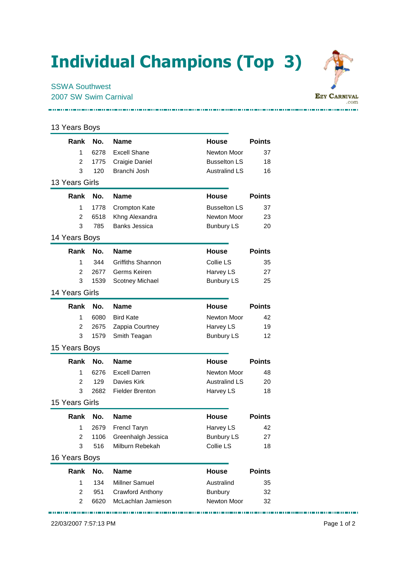## Individual Champions (Top 3)



## **EZY CARNIVAL** .com ----------------------------------

## 13 Years Boys **Rank No. Name House Points** 1 6278 Excell Shane Newton Moor 37 2 1775 Craigie Daniel Busselton LS 18 3 120 Branchi Josh Australind LS 16 13 Years Girls **Rank No. Name House Points** 1 1778 Crompton Kate **Busselton LS** 37 2 6518 Khng Alexandra Newton Moor 23 3 785 Banks Jessica **Bunbury LS** 20 14 Years Boys **Rank No. Name House Points** 1 344 Griffiths Shannon Collie LS 35 2 2677 Germs Keiren **Harvey LS** 27 3 1539 Scotney Michael Bunbury LS 25 14 Years Girls **Rank No. Name House Points** 1 6080 Bird Kate Newton Moor 42 2 2675 Zappia Courtney **Harvey LS** 19 3 1579 Smith Teagan Bunbury LS 12 15 Years Boys **Rank No. Name House Points** 1 6276 Excell Darren Newton Moor 48 2 129 Davies Kirk **Australind LS** 20 3 2682 Fielder Brenton **Harvey LS** 18 15 Years Girls **Rank No. Name House Points** 1 2679 Frencl Taryn **Harvey LS** 42 2 1106 Greenhalgh Jessica Bunbury LS 27 3 516 Milburn Rebekah Collie LS 18 16 Years Boys **Rank No. Name House Points** 1 134 Millner Samuel **Australind** 35 2 951 Crawford Anthony Bunbury 32 2 6620 McLachlan Jamieson Newton Moor 32

22/03/2007 7:57:13 PM Page 1 of 2